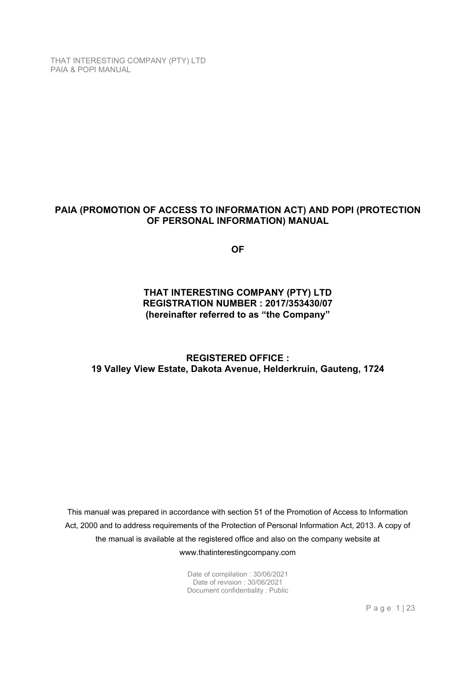## **PAIA (PROMOTION OF ACCESS TO INFORMATION ACT) AND POPI (PROTECTION OF PERSONAL INFORMATION) MANUAL**

**OF** 

## **THAT INTERESTING COMPANY (PTY) LTD REGISTRATION NUMBER : 2017/353430/07 (hereinafter referred to as "the Company"**

**REGISTERED OFFICE : 19 Valley View Estate, Dakota Avenue, Helderkruin, Gauteng, 1724** 

This manual was prepared in accordance with section 51 of the Promotion of Access to Information Act, 2000 and to address requirements of the Protection of Personal Information Act, 2013. A copy of the manual is available at the registered office and also on the company website at www.thatinterestingcompany.com

> Date of compilation : 30/06/2021 Date of revision : 30/06/2021 Document confidentiality : Public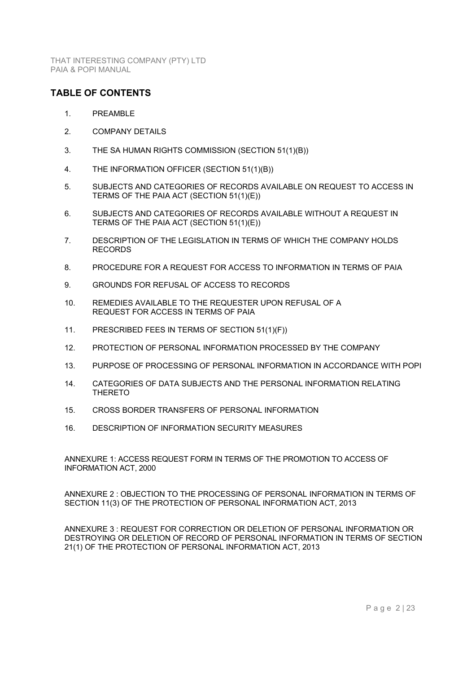### **TABLE OF CONTENTS**

- 1. PREAMBLE
- 2. COMPANY DETAILS
- 3. THE SA HUMAN RIGHTS COMMISSION (SECTION 51(1)(B))
- 4. THE INFORMATION OFFICER (SECTION 51(1)(B))
- 5. SUBJECTS AND CATEGORIES OF RECORDS AVAILABLE ON REQUEST TO ACCESS IN TERMS OF THE PAIA ACT (SECTION 51(1)(E))
- 6. SUBJECTS AND CATEGORIES OF RECORDS AVAILABLE WITHOUT A REQUEST IN TERMS OF THE PAIA ACT (SECTION 51(1)(E))
- 7. DESCRIPTION OF THE LEGISLATION IN TERMS OF WHICH THE COMPANY HOLDS RECORDS
- 8. PROCEDURE FOR A REQUEST FOR ACCESS TO INFORMATION IN TERMS OF PAIA
- 9. GROUNDS FOR REFUSAL OF ACCESS TO RECORDS
- 10. REMEDIES AVAILABLE TO THE REQUESTER UPON REFUSAL OF A REQUEST FOR ACCESS IN TERMS OF PAIA
- 11. PRESCRIBED FEES IN TERMS OF SECTION 51(1)(F))
- 12. PROTECTION OF PERSONAL INFORMATION PROCESSED BY THE COMPANY
- 13. PURPOSE OF PROCESSING OF PERSONAL INFORMATION IN ACCORDANCE WITH POPI
- 14. CATEGORIES OF DATA SUBJECTS AND THE PERSONAL INFORMATION RELATING THERETO
- 15. CROSS BORDER TRANSFERS OF PERSONAL INFORMATION
- 16. DESCRIPTION OF INFORMATION SECURITY MEASURES

ANNEXURE 1: ACCESS REQUEST FORM IN TERMS OF THE PROMOTION TO ACCESS OF INFORMATION ACT, 2000

ANNEXURE 2 : OBJECTION TO THE PROCESSING OF PERSONAL INFORMATION IN TERMS OF SECTION 11(3) OF THE PROTECTION OF PERSONAL INFORMATION ACT, 2013

ANNEXURE 3 : REQUEST FOR CORRECTION OR DELETION OF PERSONAL INFORMATION OR DESTROYING OR DELETION OF RECORD OF PERSONAL INFORMATION IN TERMS OF SECTION 21(1) OF THE PROTECTION OF PERSONAL INFORMATION ACT, 2013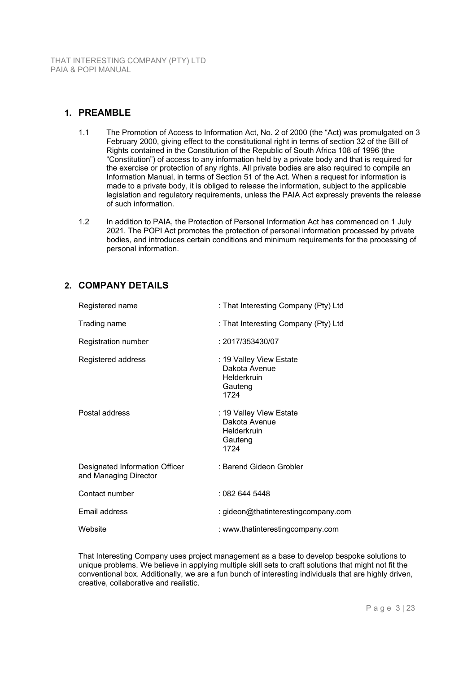## **1. PREAMBLE**

- 1.1 The Promotion of Access to Information Act, No. 2 of 2000 (the "Act) was promulgated on 3 February 2000, giving effect to the constitutional right in terms of section 32 of the Bill of Rights contained in the Constitution of the Republic of South Africa 108 of 1996 (the "Constitution") of access to any information held by a private body and that is required for the exercise or protection of any rights. All private bodies are also required to compile an Information Manual, in terms of Section 51 of the Act. When a request for information is made to a private body, it is obliged to release the information, subject to the applicable legislation and regulatory requirements, unless the PAIA Act expressly prevents the release of such information.
- 1.2 In addition to PAIA, the Protection of Personal Information Act has commenced on 1 July 2021. The POPI Act promotes the protection of personal information processed by private bodies, and introduces certain conditions and minimum requirements for the processing of personal information.

## **2. COMPANY DETAILS**

| Registered name                                         | : That Interesting Company (Pty) Ltd                                       |
|---------------------------------------------------------|----------------------------------------------------------------------------|
| Trading name                                            | : That Interesting Company (Pty) Ltd                                       |
| Registration number                                     | : 2017/353430/07                                                           |
| Registered address                                      | : 19 Valley View Estate<br>Dakota Avenue<br>Helderkruin<br>Gauteng<br>1724 |
| Postal address                                          | : 19 Valley View Estate<br>Dakota Avenue<br>Helderkruin<br>Gauteng<br>1724 |
| Designated Information Officer<br>and Managing Director | : Barend Gideon Grobler                                                    |
| Contact number                                          | : 082 644 5448                                                             |
| Email address                                           | : gideon@thatinterestingcompany.com                                        |
| Website                                                 | : www.thatinterestingcompany.com                                           |

That Interesting Company uses project management as a base to develop bespoke solutions to unique problems. We believe in applying multiple skill sets to craft solutions that might not fit the conventional box. Additionally, we are a fun bunch of interesting individuals that are highly driven, creative, collaborative and realistic.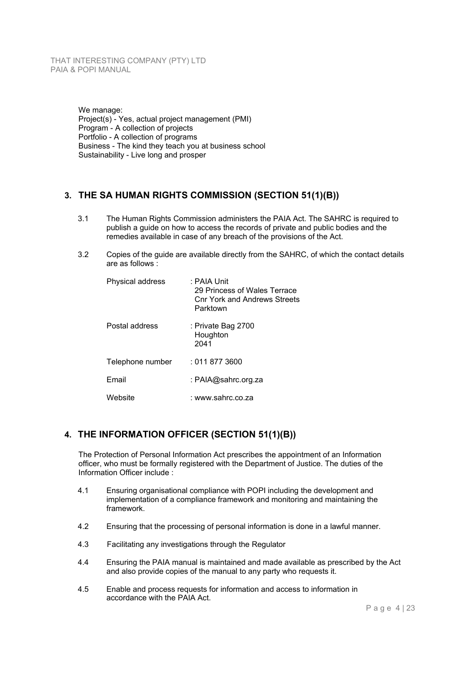We manage: Project(s) - Yes, actual project management (PMI) Program - A collection of projects Portfolio - A collection of programs Business - The kind they teach you at business school Sustainability - Live long and prosper

## **3. THE SA HUMAN RIGHTS COMMISSION (SECTION 51(1)(B))**

- 3.1 The Human Rights Commission administers the PAIA Act. The SAHRC is required to publish a guide on how to access the records of private and public bodies and the remedies available in case of any breach of the provisions of the Act.
- 3.2 Copies of the guide are available directly from the SAHRC, of which the contact details are as follows :

| Physical address | : PAIA Unit<br>29 Princess of Wales Terrace<br><b>Cnr York and Andrews Streets</b><br>Parktown |
|------------------|------------------------------------------------------------------------------------------------|
| Postal address   | : Private Bag 2700<br>Houghton<br>2041                                                         |
| Telephone number | : 011 877 3600                                                                                 |
| Email            | : PAIA@sahrc.org.za                                                                            |
| Website          | : www.sahrc.co.za                                                                              |

## **4. THE INFORMATION OFFICER (SECTION 51(1)(B))**

The Protection of Personal Information Act prescribes the appointment of an Information officer, who must be formally registered with the Department of Justice. The duties of the Information Officer include :

- 4.1 Ensuring organisational compliance with POPI including the development and implementation of a compliance framework and monitoring and maintaining the framework.
- 4.2 Ensuring that the processing of personal information is done in a lawful manner.
- 4.3 Facilitating any investigations through the Regulator
- 4.4 Ensuring the PAIA manual is maintained and made available as prescribed by the Act and also provide copies of the manual to any party who requests it.
- 4.5 Enable and process requests for information and access to information in accordance with the PAIA Act.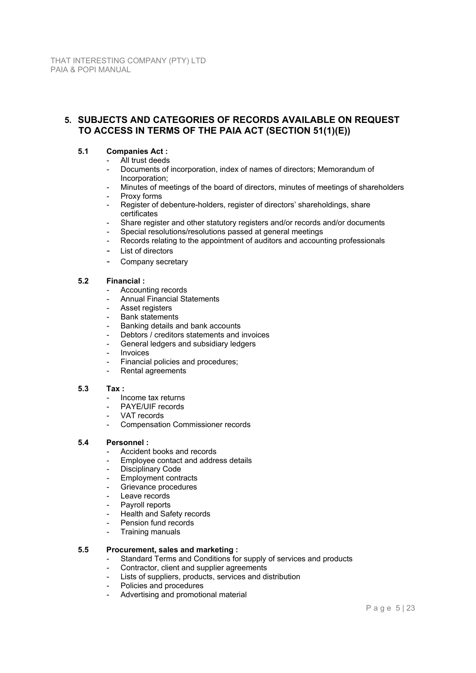## **5. SUBJECTS AND CATEGORIES OF RECORDS AVAILABLE ON REQUEST TO ACCESS IN TERMS OF THE PAIA ACT (SECTION 51(1)(E))**

### **5.1 Companies Act :**

- All trust deeds
- Documents of incorporation, index of names of directors; Memorandum of Incorporation;
- Minutes of meetings of the board of directors, minutes of meetings of shareholders Proxy forms
- Register of debenture-holders, register of directors' shareholdings, share certificates
- Share register and other statutory registers and/or records and/or documents
- Special resolutions/resolutions passed at general meetings
- Records relating to the appointment of auditors and accounting professionals
- List of directors
- Company secretary

### **5.2 Financial :**

- Accounting records
- Annual Financial Statements
- Asset registers
- Bank statements
- Banking details and bank accounts
- Debtors / creditors statements and invoices
- General ledgers and subsidiary ledgers
- **Invoices**
- Financial policies and procedures;
- Rental agreements

#### **5.3 Tax :**

- Income tax returns
- PAYE/UIF records
- VAT records
- Compensation Commissioner records

### **5.4 Personnel :**

- Accident books and records
- Employee contact and address details
- Disciplinary Code
- Employment contracts
- Grievance procedures
- Leave records
- Payroll reports
- **Health and Safety records**
- Pension fund records
- Training manuals

### **5.5 Procurement, sales and marketing :**

- Standard Terms and Conditions for supply of services and products
	- Contractor, client and supplier agreements
- Lists of suppliers, products, services and distribution
- Policies and procedures
- Advertising and promotional material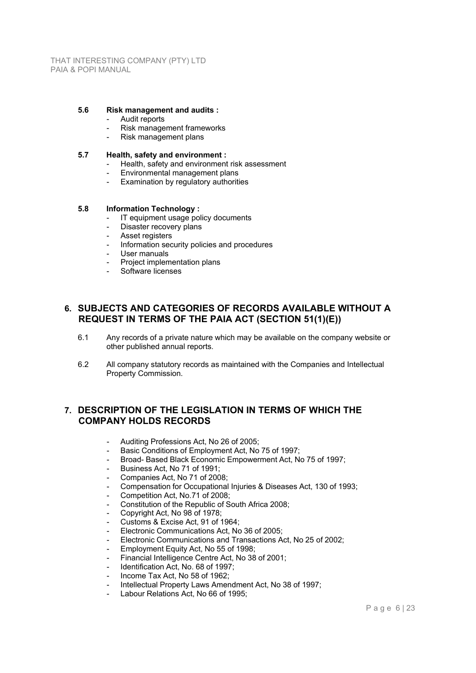#### **5.6 Risk management and audits :**

- Audit reports
- Risk management frameworks
- Risk management plans

#### **5.7 Health, safety and environment :**

- Health, safety and environment risk assessment
- Environmental management plans
- Examination by regulatory authorities

#### **5.8 Information Technology :**

- IT equipment usage policy documents
- Disaster recovery plans
- Asset registers
- Information security policies and procedures
- User manuals
- Project implementation plans
- Software licenses

### **6. SUBJECTS AND CATEGORIES OF RECORDS AVAILABLE WITHOUT A REQUEST IN TERMS OF THE PAIA ACT (SECTION 51(1)(E))**

- 6.1 Any records of a private nature which may be available on the company website or other published annual reports.
- 6.2 All company statutory records as maintained with the Companies and Intellectual Property Commission.

### **7. DESCRIPTION OF THE LEGISLATION IN TERMS OF WHICH THE COMPANY HOLDS RECORDS**

- Auditing Professions Act, No 26 of 2005;
- Basic Conditions of Employment Act, No 75 of 1997;
- Broad- Based Black Economic Empowerment Act, No 75 of 1997;
- Business Act, No 71 of 1991:
- Companies Act, No 71 of 2008;
- Compensation for Occupational Injuries & Diseases Act, 130 of 1993;
- Competition Act, No.71 of 2008;
- Constitution of the Republic of South Africa 2008;
- Copyright Act, No 98 of 1978;
- Customs & Excise Act, 91 of 1964;
- Electronic Communications Act, No 36 of 2005;
- Electronic Communications and Transactions Act, No 25 of 2002;
- Employment Equity Act, No 55 of 1998;
- Financial Intelligence Centre Act, No 38 of 2001;
- Identification Act, No. 68 of 1997;
- Income Tax Act, No 58 of 1962:
- Intellectual Property Laws Amendment Act, No 38 of 1997;
- Labour Relations Act, No 66 of 1995;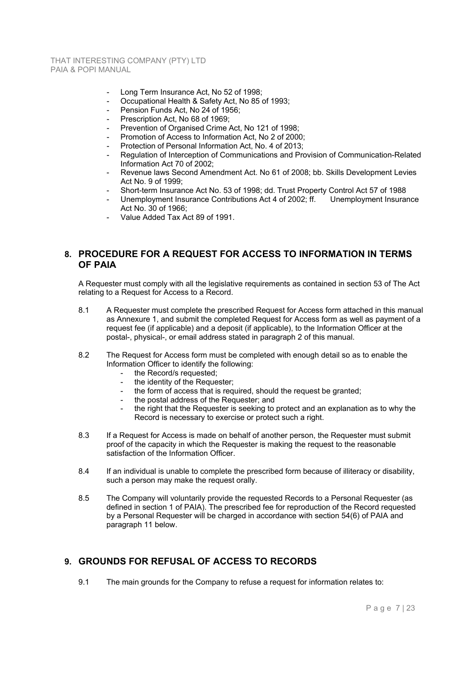- Long Term Insurance Act, No 52 of 1998;
- Occupational Health & Safety Act, No 85 of 1993;
- Pension Funds Act, No 24 of 1956;
- Prescription Act, No 68 of 1969;
- Prevention of Organised Crime Act, No 121 of 1998;
- Promotion of Access to Information Act, No 2 of 2000:
- Protection of Personal Information Act, No. 4 of 2013;
- Regulation of Interception of Communications and Provision of Communication-Related Information Act 70 of 2002;
- Revenue laws Second Amendment Act. No 61 of 2008; bb. Skills Development Levies Act No. 9 of 1999;
- Short-term Insurance Act No. 53 of 1998; dd. Trust Property Control Act 57 of 1988
- Unemployment Insurance Contributions Act 4 of 2002; ff. Unemployment Insurance Act No. 30 of 1966;
- Value Added Tax Act 89 of 1991.

### **8. PROCEDURE FOR A REQUEST FOR ACCESS TO INFORMATION IN TERMS OF PAIA**

A Requester must comply with all the legislative requirements as contained in section 53 of The Act relating to a Request for Access to a Record.

- 8.1 A Requester must complete the prescribed Request for Access form attached in this manual as Annexure 1, and submit the completed Request for Access form as well as payment of a request fee (if applicable) and a deposit (if applicable), to the Information Officer at the postal-, physical-, or email address stated in paragraph 2 of this manual.
- 8.2 The Request for Access form must be completed with enough detail so as to enable the Information Officer to identify the following:
	- the Record/s requested:
	- the identity of the Requester;
	- the form of access that is required, should the request be granted;
	- the postal address of the Requester; and
	- the right that the Requester is seeking to protect and an explanation as to why the Record is necessary to exercise or protect such a right.
- 8.3 If a Request for Access is made on behalf of another person, the Requester must submit proof of the capacity in which the Requester is making the request to the reasonable satisfaction of the Information Officer.
- 8.4 If an individual is unable to complete the prescribed form because of illiteracy or disability, such a person may make the request orally.
- 8.5 The Company will voluntarily provide the requested Records to a Personal Requester (as defined in section 1 of PAIA). The prescribed fee for reproduction of the Record requested by a Personal Requester will be charged in accordance with section 54(6) of PAIA and paragraph 11 below.

## **9. GROUNDS FOR REFUSAL OF ACCESS TO RECORDS**

9.1 The main grounds for the Company to refuse a request for information relates to: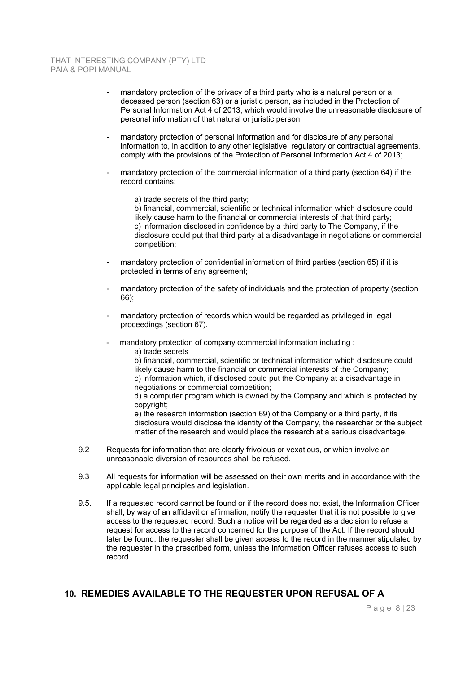- mandatory protection of the privacy of a third party who is a natural person or a deceased person (section 63) or a juristic person, as included in the Protection of Personal Information Act 4 of 2013, which would involve the unreasonable disclosure of personal information of that natural or juristic person;
- mandatory protection of personal information and for disclosure of any personal information to, in addition to any other legislative, regulatory or contractual agreements, comply with the provisions of the Protection of Personal Information Act 4 of 2013;
- mandatory protection of the commercial information of a third party (section 64) if the record contains:
	- a) trade secrets of the third party;

b) financial, commercial, scientific or technical information which disclosure could likely cause harm to the financial or commercial interests of that third party; c) information disclosed in confidence by a third party to The Company, if the disclosure could put that third party at a disadvantage in negotiations or commercial competition;

- mandatory protection of confidential information of third parties (section 65) if it is protected in terms of any agreement;
- mandatory protection of the safety of individuals and the protection of property (section 66);
- mandatory protection of records which would be regarded as privileged in legal proceedings (section 67).
- mandatory protection of company commercial information including :

a) trade secrets

b) financial, commercial, scientific or technical information which disclosure could likely cause harm to the financial or commercial interests of the Company; c) information which, if disclosed could put the Company at a disadvantage in negotiations or commercial competition;

d) a computer program which is owned by the Company and which is protected by copyright;

e) the research information (section 69) of the Company or a third party, if its disclosure would disclose the identity of the Company, the researcher or the subject matter of the research and would place the research at a serious disadvantage.

- 9.2 Requests for information that are clearly frivolous or vexatious, or which involve an unreasonable diversion of resources shall be refused.
- 9.3 All requests for information will be assessed on their own merits and in accordance with the applicable legal principles and legislation.
- 9.5. If a requested record cannot be found or if the record does not exist, the Information Officer shall, by way of an affidavit or affirmation, notify the requester that it is not possible to give access to the requested record. Such a notice will be regarded as a decision to refuse a request for access to the record concerned for the purpose of the Act. If the record should later be found, the requester shall be given access to the record in the manner stipulated by the requester in the prescribed form, unless the Information Officer refuses access to such record.

## **10. REMEDIES AVAILABLE TO THE REQUESTER UPON REFUSAL OF A**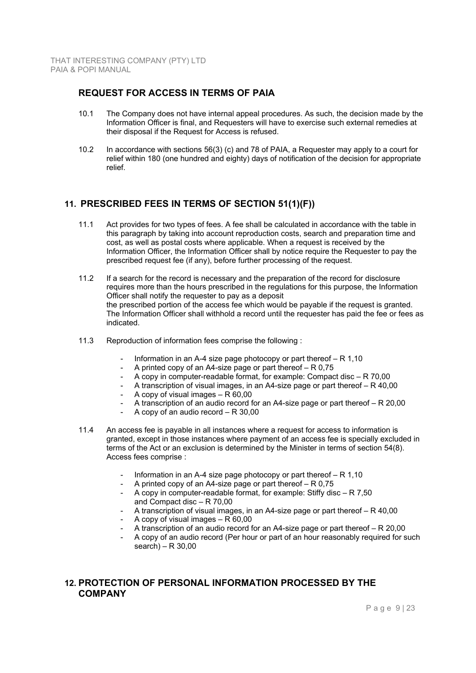## **REQUEST FOR ACCESS IN TERMS OF PAIA**

- 10.1 The Company does not have internal appeal procedures. As such, the decision made by the Information Officer is final, and Requesters will have to exercise such external remedies at their disposal if the Request for Access is refused.
- 10.2 In accordance with sections 56(3) (c) and 78 of PAIA, a Requester may apply to a court for relief within 180 (one hundred and eighty) days of notification of the decision for appropriate relief.

## **11. PRESCRIBED FEES IN TERMS OF SECTION 51(1)(F))**

- 11.1 Act provides for two types of fees. A fee shall be calculated in accordance with the table in this paragraph by taking into account reproduction costs, search and preparation time and cost, as well as postal costs where applicable. When a request is received by the Information Officer, the Information Officer shall by notice require the Requester to pay the prescribed request fee (if any), before further processing of the request.
- 11.2 If a search for the record is necessary and the preparation of the record for disclosure requires more than the hours prescribed in the regulations for this purpose, the Information Officer shall notify the requester to pay as a deposit the prescribed portion of the access fee which would be payable if the request is granted. The Information Officer shall withhold a record until the requester has paid the fee or fees as indicated.
- 11.3 Reproduction of information fees comprise the following :
	- Information in an A-4 size page photocopy or part thereof  $R 1,10$
	- A printed copy of an A4-size page or part thereof R 0,75
	- A copy in computer-readable format, for example: Compact disc  $R 70,00$
	- A transcription of visual images, in an A4-size page or part thereof R 40,00
	- A copy of visual images  $R 60,00$
	- A transcription of an audio record for an A4-size page or part thereof R 20,00
	- A copy of an audio record  $R 30,00$
- 11.4 An access fee is payable in all instances where a request for access to information is granted, except in those instances where payment of an access fee is specially excluded in terms of the Act or an exclusion is determined by the Minister in terms of section 54(8). Access fees comprise :
	- Information in an A-4 size page photocopy or part thereof  $R 1,10$
	- A printed copy of an A4-size page or part thereof  $R 0.75$
	- A copy in computer-readable format, for example: Stiffy disc R 7,50 and Compact disc – R 70,00
	- A transcription of visual images, in an A4-size page or part thereof R 40,00
	- A copy of visual images  $R 60,00$
	- A transcription of an audio record for an A4-size page or part thereof R 20,00
	- A copy of an audio record (Per hour or part of an hour reasonably required for such search) – R  $30,00$

### **12. PROTECTION OF PERSONAL INFORMATION PROCESSED BY THE COMPANY**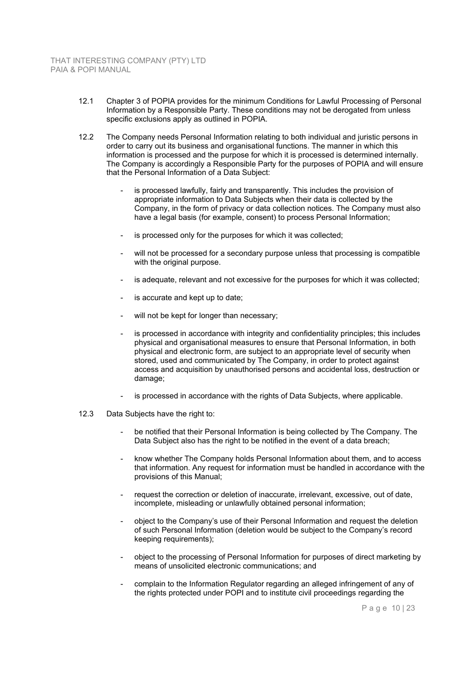- 12.1 Chapter 3 of POPIA provides for the minimum Conditions for Lawful Processing of Personal Information by a Responsible Party. These conditions may not be derogated from unless specific exclusions apply as outlined in POPIA.
- 12.2 The Company needs Personal Information relating to both individual and juristic persons in order to carry out its business and organisational functions. The manner in which this information is processed and the purpose for which it is processed is determined internally. The Company is accordingly a Responsible Party for the purposes of POPIA and will ensure that the Personal Information of a Data Subject:
	- is processed lawfully, fairly and transparently. This includes the provision of appropriate information to Data Subjects when their data is collected by the Company, in the form of privacy or data collection notices. The Company must also have a legal basis (for example, consent) to process Personal Information;
	- is processed only for the purposes for which it was collected;
	- will not be processed for a secondary purpose unless that processing is compatible with the original purpose.
	- is adequate, relevant and not excessive for the purposes for which it was collected;
	- is accurate and kept up to date;
	- will not be kept for longer than necessary;
	- is processed in accordance with integrity and confidentiality principles; this includes physical and organisational measures to ensure that Personal Information, in both physical and electronic form, are subject to an appropriate level of security when stored, used and communicated by The Company, in order to protect against access and acquisition by unauthorised persons and accidental loss, destruction or damage;
	- is processed in accordance with the rights of Data Subjects, where applicable.
- 12.3 Data Subjects have the right to:
	- be notified that their Personal Information is being collected by The Company. The Data Subject also has the right to be notified in the event of a data breach;
	- know whether The Company holds Personal Information about them, and to access that information. Any request for information must be handled in accordance with the provisions of this Manual;
	- request the correction or deletion of inaccurate, irrelevant, excessive, out of date, incomplete, misleading or unlawfully obtained personal information;
	- object to the Company's use of their Personal Information and request the deletion of such Personal Information (deletion would be subject to the Company's record keeping requirements);
	- object to the processing of Personal Information for purposes of direct marketing by means of unsolicited electronic communications; and
	- complain to the Information Regulator regarding an alleged infringement of any of the rights protected under POPI and to institute civil proceedings regarding the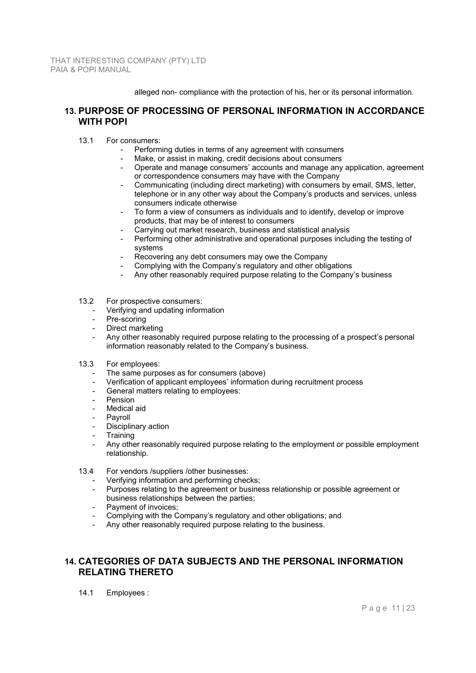alleged non- compliance with the protection of his, her or its personal information.

### **13. PURPOSE OF PROCESSING OF PERSONAL INFORMATION IN ACCORDANCE WITH POPI**

- 13.1 For consumers:
	- Performing duties in terms of any agreement with consumers
	- Make, or assist in making, credit decisions about consumers
	- Operate and manage consumers' accounts and manage any application, agreement or correspondence consumers may have with the Company
	- Communicating (including direct marketing) with consumers by email, SMS, letter, telephone or in any other way about the Company's products and services, unless consumers indicate otherwise
	- To form a view of consumers as individuals and to identify, develop or improve products, that may be of interest to consumers
	- Carrying out market research, business and statistical analysis
	- Performing other administrative and operational purposes including the testing of systems
	- Recovering any debt consumers may owe the Company
	- Complying with the Company's regulatory and other obligations
	- Any other reasonably required purpose relating to the Company's business
- 13.2 For prospective consumers:
	- Verifying and updating information
	- Pre-scoring
	- Direct marketing
	- Any other reasonably required purpose relating to the processing of a prospect's personal information reasonably related to the Company's business.
- 13.3 For employees:
	- The same purposes as for consumers (above)
	- Verification of applicant employees' information during recruitment process
	- General matters relating to employees:
	- **Pension**
	- Medical aid
	- Pavroll
	- Disciplinary action
	- **Training**
	- Any other reasonably required purpose relating to the employment or possible employment relationship.
- 13.4 For vendors /suppliers /other businesses:
	- Verifying information and performing checks:
	- Purposes relating to the agreement or business relationship or possible agreement or business relationships between the parties;
	- Payment of invoices;
	- Complying with the Company's regulatory and other obligations; and
	- Any other reasonably required purpose relating to the business.

## **14. CATEGORIES OF DATA SUBJECTS AND THE PERSONAL INFORMATION RELATING THERETO**

14.1 Employees :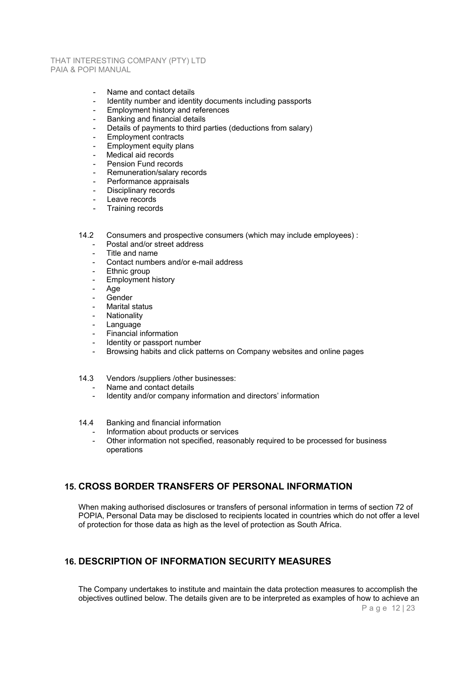- Name and contact details
- Identity number and identity documents including passports
- Employment history and references
- Banking and financial details
- Details of payments to third parties (deductions from salary)
- Employment contracts
- Employment equity plans
- Medical aid records
- Pension Fund records
- Remuneration/salary records
- Performance appraisals
- Disciplinary records
- Leave records
- Training records

14.2 Consumers and prospective consumers (which may include employees) :

- Postal and/or street address
- Title and name
- Contact numbers and/or e-mail address
- Ethnic group
- Employment history
- Age
- **Gender**
- Marital status
- **Nationality**
- **Language**
- Financial information
- Identity or passport number
- Browsing habits and click patterns on Company websites and online pages
- 14.3 Vendors /suppliers /other businesses:
	- Name and contact details
	- Identity and/or company information and directors' information
- 14.4 Banking and financial information
	- Information about products or services
	- Other information not specified, reasonably required to be processed for business operations

### **15. CROSS BORDER TRANSFERS OF PERSONAL INFORMATION**

When making authorised disclosures or transfers of personal information in terms of section 72 of POPIA, Personal Data may be disclosed to recipients located in countries which do not offer a level of protection for those data as high as the level of protection as South Africa.

### **16. DESCRIPTION OF INFORMATION SECURITY MEASURES**

The Company undertakes to institute and maintain the data protection measures to accomplish the objectives outlined below. The details given are to be interpreted as examples of how to achieve an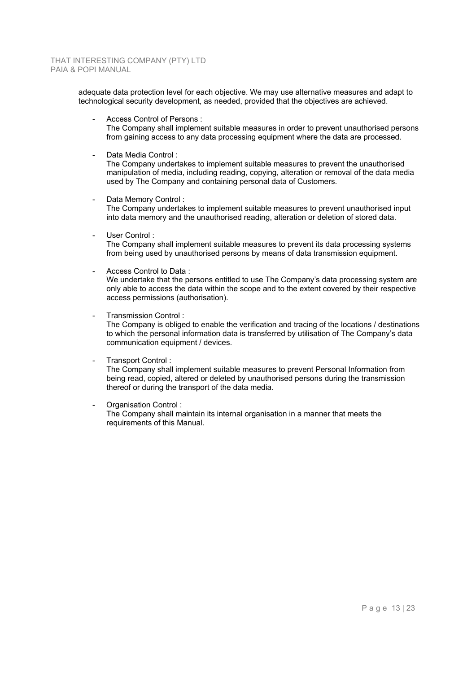adequate data protection level for each objective. We may use alternative measures and adapt to technological security development, as needed, provided that the objectives are achieved.

Access Control of Persons :

The Company shall implement suitable measures in order to prevent unauthorised persons from gaining access to any data processing equipment where the data are processed.

Data Media Control :

The Company undertakes to implement suitable measures to prevent the unauthorised manipulation of media, including reading, copying, alteration or removal of the data media used by The Company and containing personal data of Customers.

- Data Memory Control : The Company undertakes to implement suitable measures to prevent unauthorised input into data memory and the unauthorised reading, alteration or deletion of stored data.
- User Control:

The Company shall implement suitable measures to prevent its data processing systems from being used by unauthorised persons by means of data transmission equipment.

- Access Control to Data :

We undertake that the persons entitled to use The Company's data processing system are only able to access the data within the scope and to the extent covered by their respective access permissions (authorisation).

Transmission Control:

The Company is obliged to enable the verification and tracing of the locations / destinations to which the personal information data is transferred by utilisation of The Company's data communication equipment / devices.

- Transport Control :

The Company shall implement suitable measures to prevent Personal Information from being read, copied, altered or deleted by unauthorised persons during the transmission thereof or during the transport of the data media.

Organisation Control:

The Company shall maintain its internal organisation in a manner that meets the requirements of this Manual.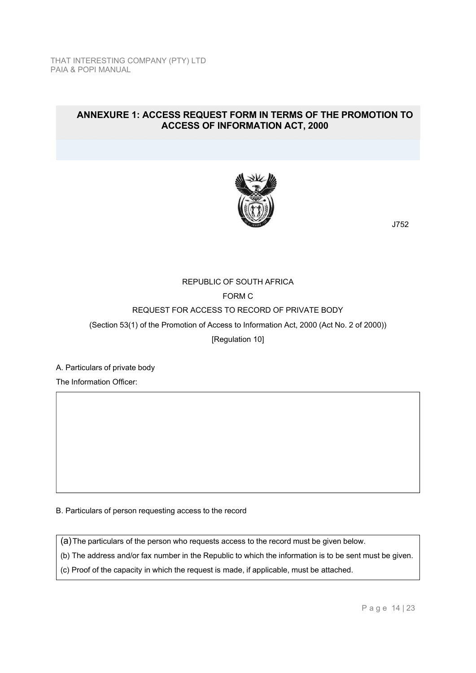## **ANNEXURE 1: ACCESS REQUEST FORM IN TERMS OF THE PROMOTION TO ACCESS OF INFORMATION ACT, 2000**



J752

# REPUBLIC OF SOUTH AFRICA FORM C REQUEST FOR ACCESS TO RECORD OF PRIVATE BODY (Section 53(1) of the Promotion of Access to Information Act, 2000 (Act No. 2 of 2000)) [Regulation 10]

A. Particulars of private body

The Information Officer:

B. Particulars of person requesting access to the record

(a) The particulars of the person who requests access to the record must be given below.

(b) The address and/or fax number in the Republic to which the information is to be sent must be given.

(c) Proof of the capacity in which the request is made, if applicable, must be attached.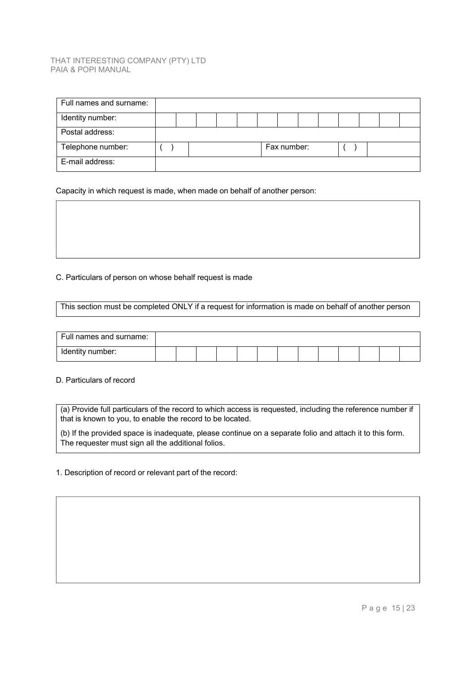| Full names and surname: |  |  |  |             |  |  |  |
|-------------------------|--|--|--|-------------|--|--|--|
| Identity number:        |  |  |  |             |  |  |  |
| Postal address:         |  |  |  |             |  |  |  |
| Telephone number:       |  |  |  | Fax number: |  |  |  |
| E-mail address:         |  |  |  |             |  |  |  |

Capacity in which request is made, when made on behalf of another person:

### C. Particulars of person on whose behalf request is made

This section must be completed ONLY if a request for information is made on behalf of another person

| Full names and surname: |  |  |  |  |  |  |  |
|-------------------------|--|--|--|--|--|--|--|
| Identity number:        |  |  |  |  |  |  |  |

D. Particulars of record

(a) Provide full particulars of the record to which access is requested, including the reference number if that is known to you, to enable the record to be located.

(b) If the provided space is inadequate, please continue on a separate folio and attach it to this form. The requester must sign all the additional folios.

1. Description of record or relevant part of the record: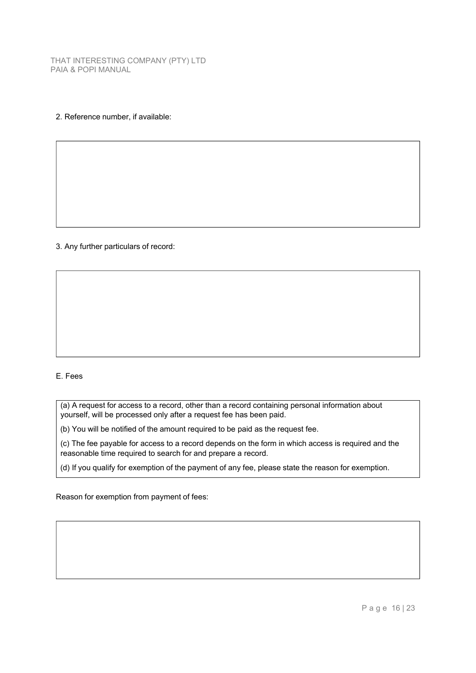### 2. Reference number, if available:

### 3. Any further particulars of record:

### E. Fees

(a) A request for access to a record, other than a record containing personal information about yourself, will be processed only after a request fee has been paid.

(b) You will be notified of the amount required to be paid as the request fee.

(c) The fee payable for access to a record depends on the form in which access is required and the reasonable time required to search for and prepare a record.

(d) If you qualify for exemption of the payment of any fee, please state the reason for exemption.

Reason for exemption from payment of fees: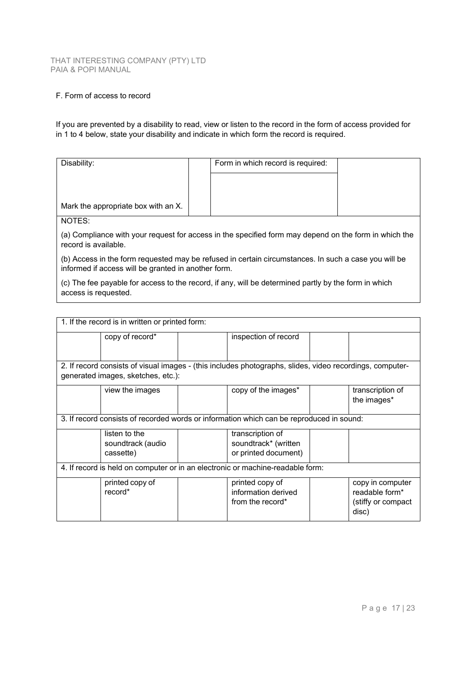### F. Form of access to record

If you are prevented by a disability to read, view or listen to the record in the form of access provided for in 1 to 4 below, state your disability and indicate in which form the record is required.

| Disability:                                                                                                                   | Form in which record is required: |  |  |  |  |
|-------------------------------------------------------------------------------------------------------------------------------|-----------------------------------|--|--|--|--|
| Mark the appropriate box with an X.                                                                                           |                                   |  |  |  |  |
| NOTES:                                                                                                                        |                                   |  |  |  |  |
| (a) Compliance with your request for access in the specified form may depend on the form in which the<br>record is available. |                                   |  |  |  |  |

(b) Access in the form requested may be refused in certain circumstances. In such a case you will be informed if access will be granted in another form.

(c) The fee payable for access to the record, if any, will be determined partly by the form in which access is requested.

| 1. If the record is in written or printed form:                                |                                                 |  |                                                                                                          |  |                                                                    |  |
|--------------------------------------------------------------------------------|-------------------------------------------------|--|----------------------------------------------------------------------------------------------------------|--|--------------------------------------------------------------------|--|
|                                                                                | copy of record*                                 |  | inspection of record                                                                                     |  |                                                                    |  |
|                                                                                |                                                 |  |                                                                                                          |  |                                                                    |  |
|                                                                                |                                                 |  | 2. If record consists of visual images - (this includes photographs, slides, video recordings, computer- |  |                                                                    |  |
|                                                                                | generated images, sketches, etc.):              |  |                                                                                                          |  |                                                                    |  |
|                                                                                | view the images                                 |  | copy of the images*                                                                                      |  | transcription of<br>the images*                                    |  |
|                                                                                |                                                 |  | 3. If record consists of recorded words or information which can be reproduced in sound:                 |  |                                                                    |  |
|                                                                                | listen to the<br>soundtrack (audio<br>cassette) |  | transcription of<br>soundtrack* (written<br>or printed document)                                         |  |                                                                    |  |
| 4. If record is held on computer or in an electronic or machine-readable form: |                                                 |  |                                                                                                          |  |                                                                    |  |
|                                                                                | printed copy of<br>record*                      |  | printed copy of<br>information derived<br>from the record*                                               |  | copy in computer<br>readable form*<br>(stiffy or compact)<br>disc) |  |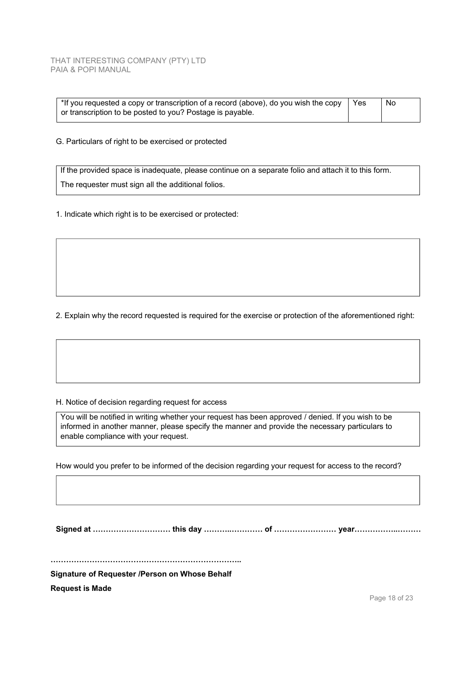| $\mid$ *If you requested a copy or transcription of a record (above), do you wish the copy | l Yes | No |  |
|--------------------------------------------------------------------------------------------|-------|----|--|
| or transcription to be posted to you? Postage is payable.                                  |       |    |  |

G. Particulars of right to be exercised or protected

If the provided space is inadequate, please continue on a separate folio and attach it to this form. The requester must sign all the additional folios.

1. Indicate which right is to be exercised or protected:

2. Explain why the record requested is required for the exercise or protection of the aforementioned right:

H. Notice of decision regarding request for access

You will be notified in writing whether your request has been approved / denied. If you wish to be informed in another manner, please specify the manner and provide the necessary particulars to enable compliance with your request.

How would you prefer to be informed of the decision regarding your request for access to the record?

**Signed at ………………………… this day ………..………… of …………………… year……………..………** 

**………………………………………………………………..** 

**Signature of Requester /Person on Whose Behalf** 

**Request is Made**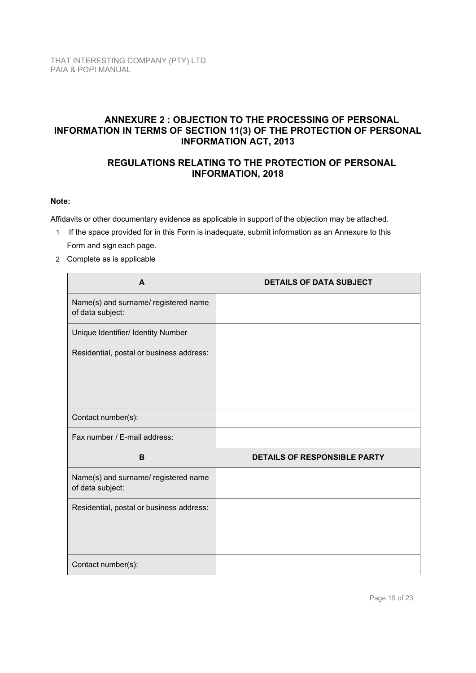## **ANNEXURE 2 : OBJECTION TO THE PROCESSING OF PERSONAL INFORMATION IN TERMS OF SECTION 11(3) OF THE PROTECTION OF PERSONAL INFORMATION ACT, 2013**

## **REGULATIONS RELATING TO THE PROTECTION OF PERSONAL INFORMATION, 2018**

### **Note:**

Affidavits or other documentary evidence as applicable in support of the objection may be attached.

- 1 If the space provided for in this Form is inadequate, submit information as an Annexure to this Form and sign each page.
- 2 Complete as is applicable

| A                                                        | <b>DETAILS OF DATA SUBJECT</b>      |
|----------------------------------------------------------|-------------------------------------|
| Name(s) and surname/ registered name<br>of data subject: |                                     |
| Unique Identifier/ Identity Number                       |                                     |
| Residential, postal or business address:                 |                                     |
| Contact number(s):                                       |                                     |
| Fax number / E-mail address:                             |                                     |
| B                                                        | <b>DETAILS OF RESPONSIBLE PARTY</b> |
| Name(s) and surname/ registered name<br>of data subject: |                                     |
| Residential, postal or business address:                 |                                     |
| Contact number(s):                                       |                                     |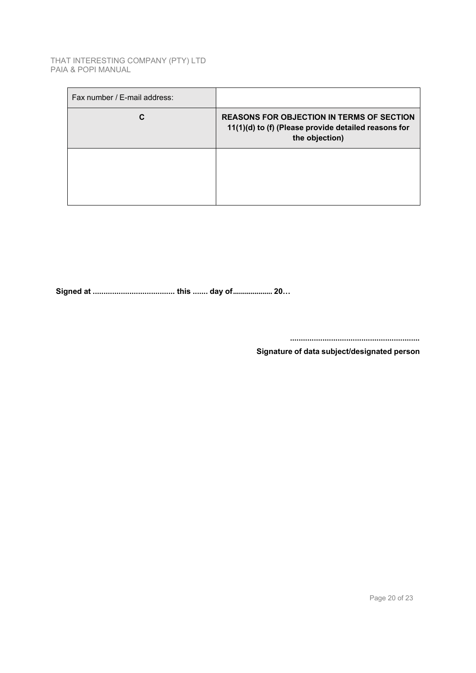| <b>REASONS FOR OBJECTION IN TERMS OF SECTION</b><br>11(1)(d) to (f) (Please provide detailed reasons for<br>the objection) |
|----------------------------------------------------------------------------------------------------------------------------|
|                                                                                                                            |
|                                                                                                                            |

**Signed at ...................................... this ....... day of .................... 20…** 

**............................................................** 

**Signature of data subject/designated person**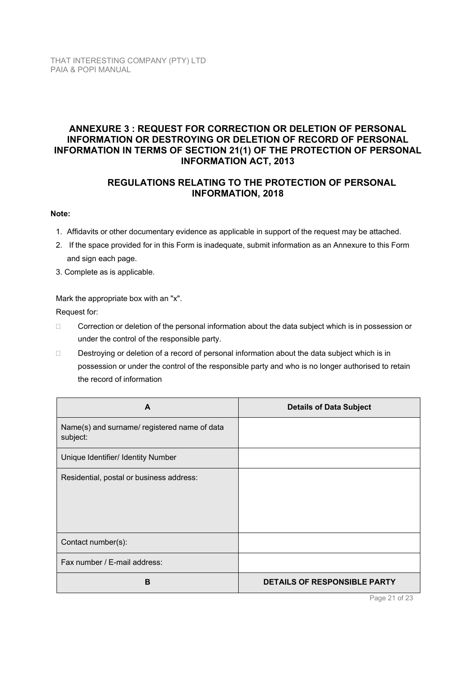## **ANNEXURE 3 : REQUEST FOR CORRECTION OR DELETION OF PERSONAL INFORMATION OR DESTROYING OR DELETION OF RECORD OF PERSONAL INFORMATION IN TERMS OF SECTION 21(1) OF THE PROTECTION OF PERSONAL INFORMATION ACT, 2013**

## **REGULATIONS RELATING TO THE PROTECTION OF PERSONAL INFORMATION, 2018**

### **Note:**

- 1. Affidavits or other documentary evidence as applicable in support of the request may be attached.
- 2. If the space provided for in this Form is inadequate, submit information as an Annexure to this Form and sign each page.
- 3. Complete as is applicable.

Mark the appropriate box with an "x".

Request for:

- □ Correction or deletion of the personal information about the data subject which is in possession or under the control of the responsible party.
- Destroying or deletion of a record of personal information about the data subject which is in possession or under the control of the responsible party and who is no longer authorised to retain the record of information

| A                                                        | <b>Details of Data Subject</b> |
|----------------------------------------------------------|--------------------------------|
| Name(s) and surname/ registered name of data<br>subject: |                                |
| Unique Identifier/ Identity Number                       |                                |
| Residential, postal or business address:                 |                                |
| Contact number(s):                                       |                                |
| Fax number / E-mail address:                             |                                |
| B                                                        | DETAILS OF RESPONSIBLE PARTY   |

Page 21 of 23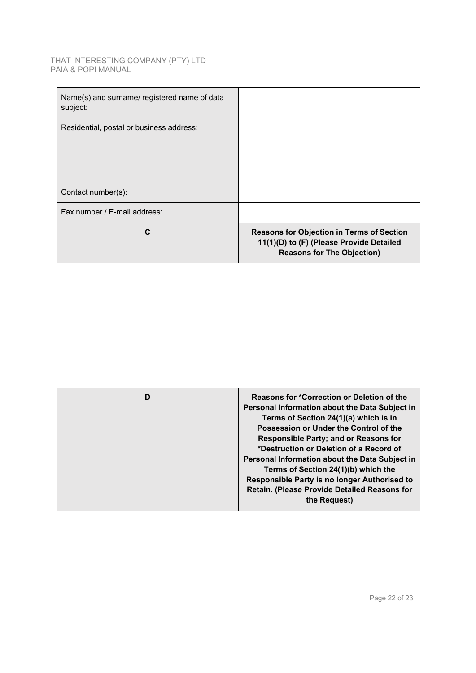| Name(s) and surname/ registered name of data<br>subject: |                                                                                                                                                                                                                                                                                                                                                                                                                                                                                     |
|----------------------------------------------------------|-------------------------------------------------------------------------------------------------------------------------------------------------------------------------------------------------------------------------------------------------------------------------------------------------------------------------------------------------------------------------------------------------------------------------------------------------------------------------------------|
| Residential, postal or business address:                 |                                                                                                                                                                                                                                                                                                                                                                                                                                                                                     |
| Contact number(s):                                       |                                                                                                                                                                                                                                                                                                                                                                                                                                                                                     |
| Fax number / E-mail address:                             |                                                                                                                                                                                                                                                                                                                                                                                                                                                                                     |
| C                                                        | Reasons for Objection in Terms of Section<br>11(1)(D) to (F) (Please Provide Detailed<br><b>Reasons for The Objection)</b>                                                                                                                                                                                                                                                                                                                                                          |
|                                                          |                                                                                                                                                                                                                                                                                                                                                                                                                                                                                     |
| D                                                        | Reasons for *Correction or Deletion of the<br>Personal Information about the Data Subject in<br>Terms of Section 24(1)(a) which is in<br>Possession or Under the Control of the<br><b>Responsible Party; and or Reasons for</b><br>*Destruction or Deletion of a Record of<br>Personal Information about the Data Subject in<br>Terms of Section 24(1)(b) which the<br>Responsible Party is no longer Authorised to<br>Retain. (Please Provide Detailed Reasons for<br>the Request) |